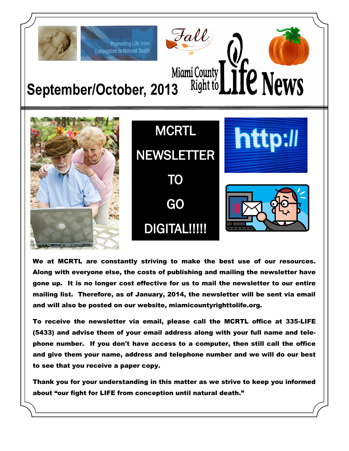

We at MCRTL are constantly striving to make the best use of our resources. Along with everyone else, the costs of publishing and mailing the newsletter have gone up. It is no longer cost effective for us to mail the newsletter to our entire mailing list. Therefore, as of January, 2014, the newsletter will be sent via email and will also be posted on our website, miamicountyrighttolife.org.

To receive the newsletter via email, please call the MCRTL office at 335-LIFE (5433) and advise them of your email address along with your full name and telephone number. If you don't have access to a computer, then still call the office and give them your name, address and telephone number and we will do our best to see that you receive a paper copy.

Thank you for your understanding in this matter as we strive to keep you informed about "our fight for LIFE from conception until natural death."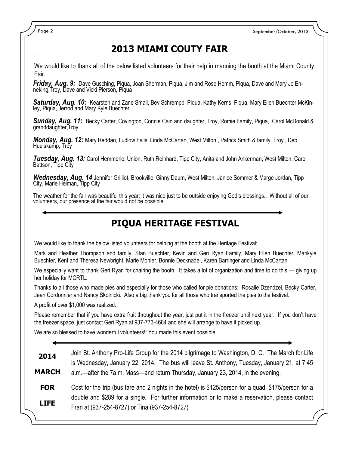Page 2 September/October, 2013

# **2013 MIAMI COUTY FAIR**

We would like to thank all of the below listed volunteers for their help in manning the booth at the Miami County Fair.

*Friday, Aug. 9:* Dave Gusching, Piqua, Joan Sherman, Piqua, Jim and Rose Hemm, Piqua, Dave and Mary Jo Enneking, Troy, Dave and Vicki Pierson, Piqua

*Saturday, Aug. 10:* Kearsten and Zane Small, Bev Schrempp, Piqua, Kathy Kerns, Piqua, Mary Ellen Buechter McKinley, Piqua, Jerrod and Mary Kyle Buechter

*Sunday, Aug. 11:* Becky Carter, Covington, Connie Cain and daughter, Troy, Romie Family, Piqua, Carol McDonald & granddaughter,Troy

*Monday, Aug. 12:* Mary Reddan, Ludlow Falls, Linda McCartan, West Milton , Patrick Smith & family, Troy , Deb. Huelskamp, Troy

*Tuesday, Aug. 13:* Carol Hemmerle, Union, Ruth Reinhard, Tipp City, Anita and John Ankerman, West Milton, Carol Battson, Tipp City

*Wednesday, Aug. 14* Jennifer Grilliot, Brookville, Ginny Daum, West Milton, Janice Sommer & Marge Jordan, Tipp City, Marie Helman, Tipp City

The weather for the fair was beautiful this year; it was nice just to be outside enjoying God's blessings.. Without all of our volunteers, our presence at the fair would not be possible.

### **PIQUA HERITAGE FESTIVAL**

We would like to thank the below listed volunteers for helping at the booth at the Heritage Festival:

Mark and Heather Thompson and family, Stan Buechter, Kevin and Geri Ryan Family, Mary Ellen Buechter, Marikyle Buechter, Kent and Theresa Newbright, Marie Monier, Bonnie Decknadel, Karen Barringer and Linda McCartan

We especially want to thank Geri Ryan for chairing the booth. It takes a lot of organization and time to do this — giving up her holiday for MCRTL.

Thanks to all those who made pies and especially for those who called for pie donations: Rosalie Dzendzel, Becky Carter, Jean Cordonnier and Nancy Skolnicki. Also a big thank you for all those who transported the pies to the festival.

A profit of over \$1,000 was realized.

Please remember that if you have extra fruit throughout the year, just put it in the freezer until next year. If you don't have the freezer space, just contact Geri Ryan at 937-773-4684 and she will arrange to have it picked up.

We are so blessed to have wonderful volunteers!! You made this event possible.

| Join St. Anthony Pro-Life Group for the 2014 pilgrimage to Washington, D. C. The March for Life<br>is Wednesday, January 22, 2014. The bus will leave St. Anthony, Tuesday, January 21, at 7:45 |
|-------------------------------------------------------------------------------------------------------------------------------------------------------------------------------------------------|
| a.m.—after the 7a.m. Mass—and return Thursday, January 23, 2014, in the evening.                                                                                                                |
| Cost for the trip (bus fare and 2 nights in the hotel) is \$125/person for a quad, \$175/person for a                                                                                           |
| double and \$289 for a single. For further information or to make a reservation, please contact<br>Fran at (937-254-8727) or Tina (937-254-8727)                                                |
|                                                                                                                                                                                                 |

.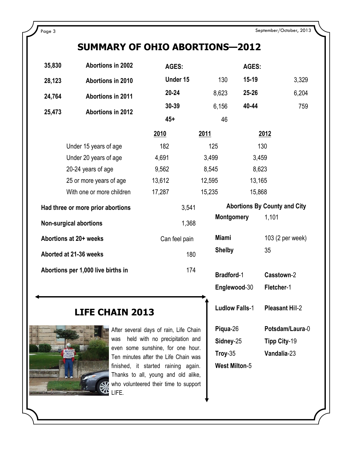# **SUMMARY OF OHIO ABORTIONS—2012**

| 35,830                             | <b>Abortions in 2002</b>  | AGES:         |                      |                   | AGES:     |                                     |
|------------------------------------|---------------------------|---------------|----------------------|-------------------|-----------|-------------------------------------|
| 28,123                             | Abortions in 2010         | Under 15      |                      | 130               | $15 - 19$ | 3,329                               |
| 24,764                             | <b>Abortions in 2011</b>  | $20 - 24$     |                      | 8,623             | 25-26     | 6,204                               |
| 25,473                             | Abortions in 2012         | 30-39         |                      | 6,156             | 40-44     | 759                                 |
|                                    |                           | $45+$         |                      | 46                |           |                                     |
|                                    |                           | 2010          | <u>2011</u>          |                   |           | 2012                                |
|                                    | Under 15 years of age     | 182           | 125                  |                   | 130       |                                     |
|                                    | Under 20 years of age     | 4,691         | 3,499                |                   | 3,459     |                                     |
|                                    | 20-24 years of age        | 9,562         | 8,545                |                   | 8,623     |                                     |
|                                    | 25 or more years of age   | 13,612        | 12,595               |                   | 13,165    |                                     |
|                                    | With one or more children | 17,287        | 15,235               |                   | 15,868    |                                     |
| Had three or more prior abortions  |                           |               | 3,541                |                   |           | <b>Abortions By County and City</b> |
| <b>Non-surgical abortions</b>      |                           |               | 1,368                | <b>Montgomery</b> |           | 1,101                               |
| Abortions at 20+ weeks             |                           | Can feel pain | <b>Miami</b>         |                   |           | 103 (2 per week)                    |
| Aborted at 21-36 weeks             |                           |               | <b>Shelby</b><br>180 |                   |           | 35                                  |
| Abortions per 1,000 live births in |                           |               | 174                  | <b>Bradford-1</b> |           | Casstown-2                          |

## **LIFE CHAIN 2013**



After several days of rain, Life Chain was held with no precipitation and even some sunshine, for one hour. Ten minutes after the Life Chain was finished, it started raining again. Thanks to all, young and old alike, who volunteered their time to support LIFE.

| <b>INDINGONIUM</b>     | 1. I V I               |
|------------------------|------------------------|
| Miami<br><b>Shelby</b> | 103 (2 per week)<br>35 |
| <b>Bradford-1</b>      | <b>Casstown-2</b>      |
| Englewood-30           | Fletcher-1             |
| <b>Ludlow Falls-1</b>  | <b>Pleasant Hill-2</b> |
| Piqua-26               | Potsdam/Laura-0        |
| Sidney-25              | Tipp City-19           |

**Troy**-35 **Vandalia**-23

**West Milton**-5